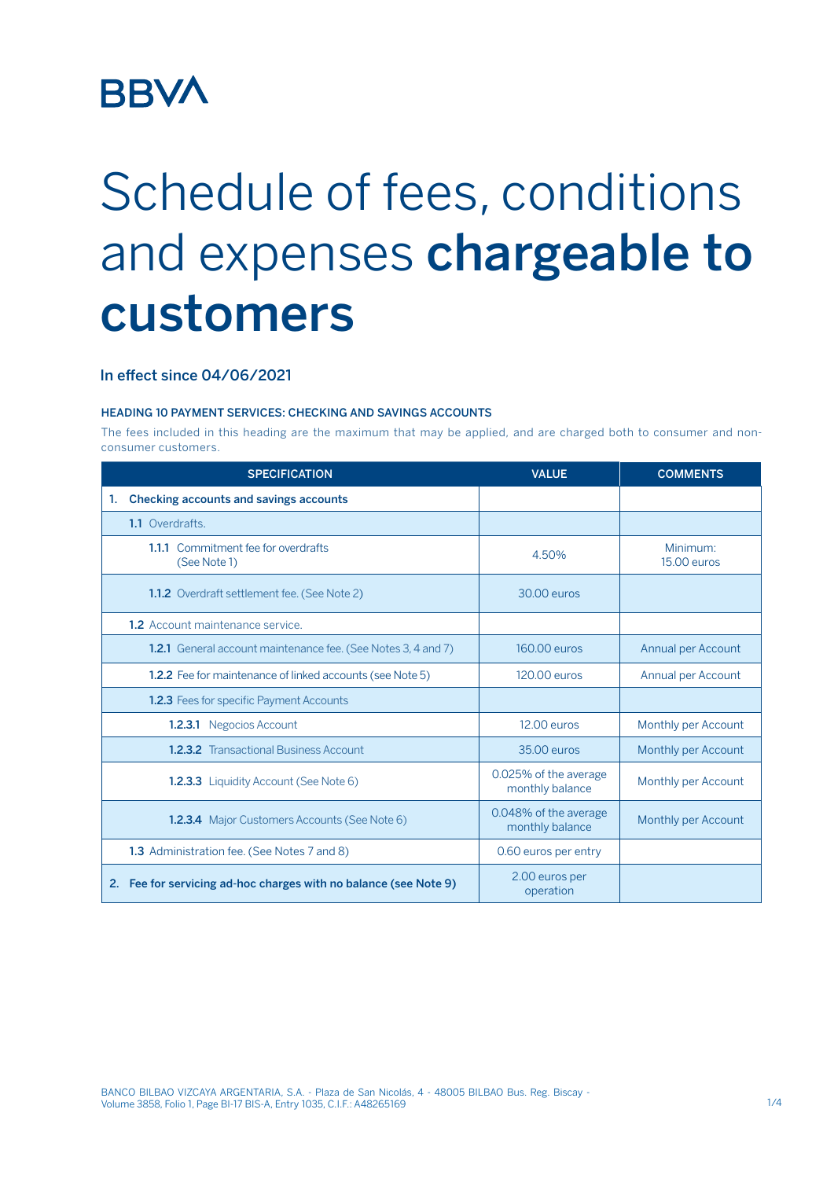## **BBVA**

# Schedule of fees, conditions and expenses chargeable to customers

### In effect since 04/06/2021

#### HEADING 10 PAYMENT SERVICES: CHECKING AND SAVINGS ACCOUNTS

The fees included in this heading are the maximum that may be applied, and are charged both to consumer and nonconsumer customers.

| <b>SPECIFICATION</b>                                                 | <b>VALUE</b>                             | <b>COMMENTS</b>         |
|----------------------------------------------------------------------|------------------------------------------|-------------------------|
| Checking accounts and savings accounts<br>1.                         |                                          |                         |
| 1.1 Overdrafts.                                                      |                                          |                         |
| 1.1.1 Commitment fee for overdrafts<br>(See Note 1)                  | 4.50%                                    | Minimum:<br>15.00 euros |
| <b>1.1.2</b> Overdraft settlement fee. (See Note 2)                  | 30.00 euros                              |                         |
| <b>1.2</b> Account maintenance service.                              |                                          |                         |
| <b>1.2.1</b> General account maintenance fee. (See Notes 3, 4 and 7) | 160.00 euros                             | Annual per Account      |
| <b>1.2.2</b> Fee for maintenance of linked accounts (see Note 5)     | 120.00 euros                             | Annual per Account      |
| <b>1.2.3</b> Fees for specific Payment Accounts                      |                                          |                         |
| <b>1.2.3.1</b> Negocios Account                                      | 12.00 euros                              | Monthly per Account     |
| <b>1.2.3.2</b> Transactional Business Account                        | 35.00 euros                              | Monthly per Account     |
| <b>1.2.3.3</b> Liquidity Account (See Note 6)                        | 0.025% of the average<br>monthly balance | Monthly per Account     |
| <b>1.2.3.4</b> Major Customers Accounts (See Note 6)                 | 0.048% of the average<br>monthly balance | Monthly per Account     |
| 1.3 Administration fee. (See Notes 7 and 8)                          | 0.60 euros per entry                     |                         |
| Fee for servicing ad-hoc charges with no balance (see Note 9)<br>2.  | 2.00 euros per<br>operation              |                         |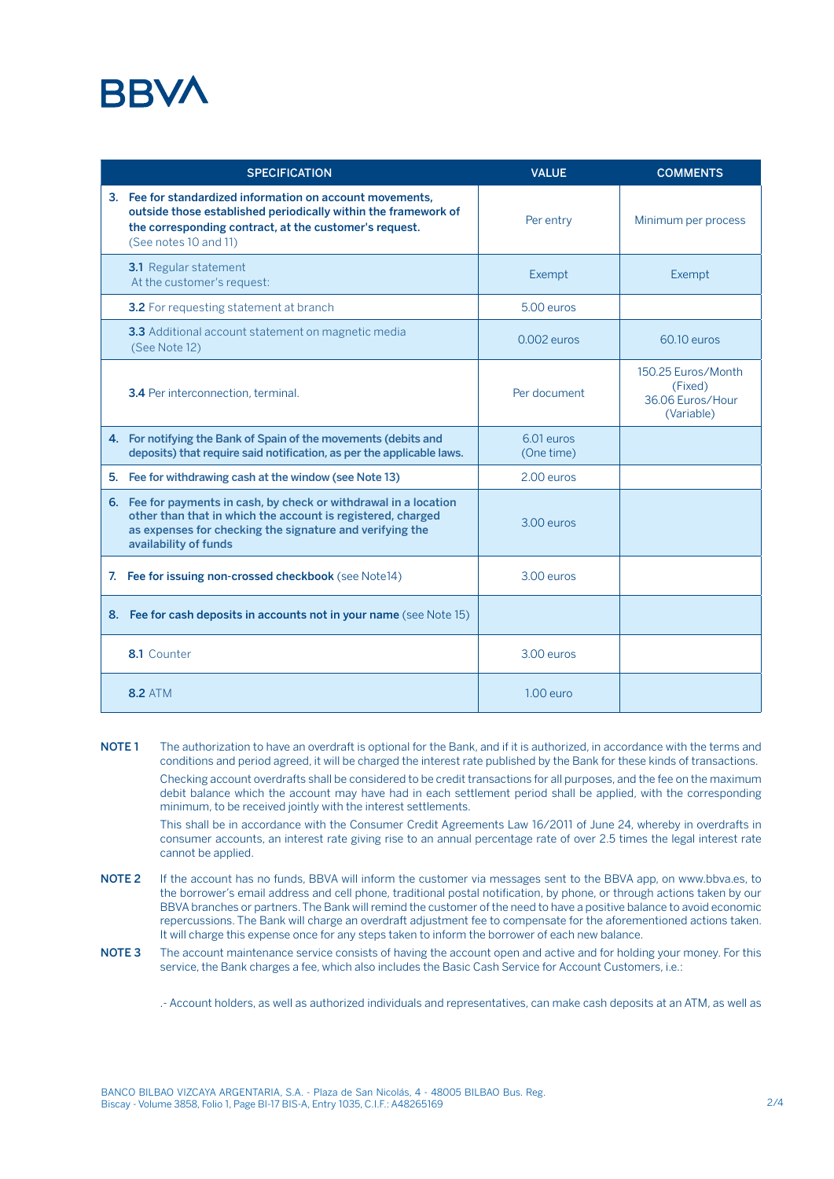## **RRV/**

| <b>SPECIFICATION</b>                                                                                                                                                                                                  | <b>VALUE</b>             | <b>COMMENTS</b>                                                 |
|-----------------------------------------------------------------------------------------------------------------------------------------------------------------------------------------------------------------------|--------------------------|-----------------------------------------------------------------|
| 3. Fee for standardized information on account movements,<br>outside those established periodically within the framework of<br>the corresponding contract, at the customer's request.<br>(See notes 10 and 11)        | Per entry                | Minimum per process                                             |
| <b>3.1</b> Regular statement<br>At the customer's request:                                                                                                                                                            | Exempt                   | Exempt                                                          |
| <b>3.2</b> For requesting statement at branch                                                                                                                                                                         | $5.00$ euros             |                                                                 |
| <b>3.3</b> Additional account statement on magnetic media<br>(See Note 12)                                                                                                                                            | $0.002$ euros            | 60.10 euros                                                     |
| 3.4 Per interconnection, terminal.                                                                                                                                                                                    | Per document             | 150.25 Euros/Month<br>(Fixed)<br>36.06 Euros/Hour<br>(Variable) |
| 4. For notifying the Bank of Spain of the movements (debits and<br>deposits) that require said notification, as per the applicable laws.                                                                              | 6.01 euros<br>(One time) |                                                                 |
| 5. Fee for withdrawing cash at the window (see Note 13)                                                                                                                                                               | 2.00 euros               |                                                                 |
| 6. Fee for payments in cash, by check or withdrawal in a location<br>other than that in which the account is registered, charged<br>as expenses for checking the signature and verifying the<br>availability of funds | 3.00 euros               |                                                                 |
| 7. Fee for issuing non-crossed checkbook (see Note14)                                                                                                                                                                 | 3.00 euros               |                                                                 |
| 8. Fee for cash deposits in accounts not in your name (see Note 15)                                                                                                                                                   |                          |                                                                 |
| 8.1 Counter                                                                                                                                                                                                           | 3.00 euros               |                                                                 |
| <b>8.2 ATM</b>                                                                                                                                                                                                        | 1.00 euro                |                                                                 |

NOTE 1 The authorization to have an overdraft is optional for the Bank, and if it is authorized, in accordance with the terms and conditions and period agreed, it will be charged the interest rate published by the Bank for these kinds of transactions. Checking account overdrafts shall be considered to be credit transactions for all purposes, and the fee on the maximum debit balance which the account may have had in each settlement period shall be applied, with the corresponding minimum, to be received jointly with the interest settlements.

This shall be in accordance with the Consumer Credit Agreements Law 16/2011 of June 24, whereby in overdrafts in consumer accounts, an interest rate giving rise to an annual percentage rate of over 2.5 times the legal interest rate cannot be applied.

- NOTE 2 If the account has no funds, BBVA will inform the customer via messages sent to the BBVA app, on www.bbva.es, to the borrower's email address and cell phone, traditional postal notification, by phone, or through actions taken by our BBVA branches or partners. The Bank will remind the customer of the need to have a positive balance to avoid economic repercussions. The Bank will charge an overdraft adjustment fee to compensate for the aforementioned actions taken. It will charge this expense once for any steps taken to inform the borrower of each new balance.
- NOTE 3 The account maintenance service consists of having the account open and active and for holding your money. For this service, the Bank charges a fee, which also includes the Basic Cash Service for Account Customers, i.e.:

.- Account holders, as well as authorized individuals and representatives, can make cash deposits at an ATM, as well as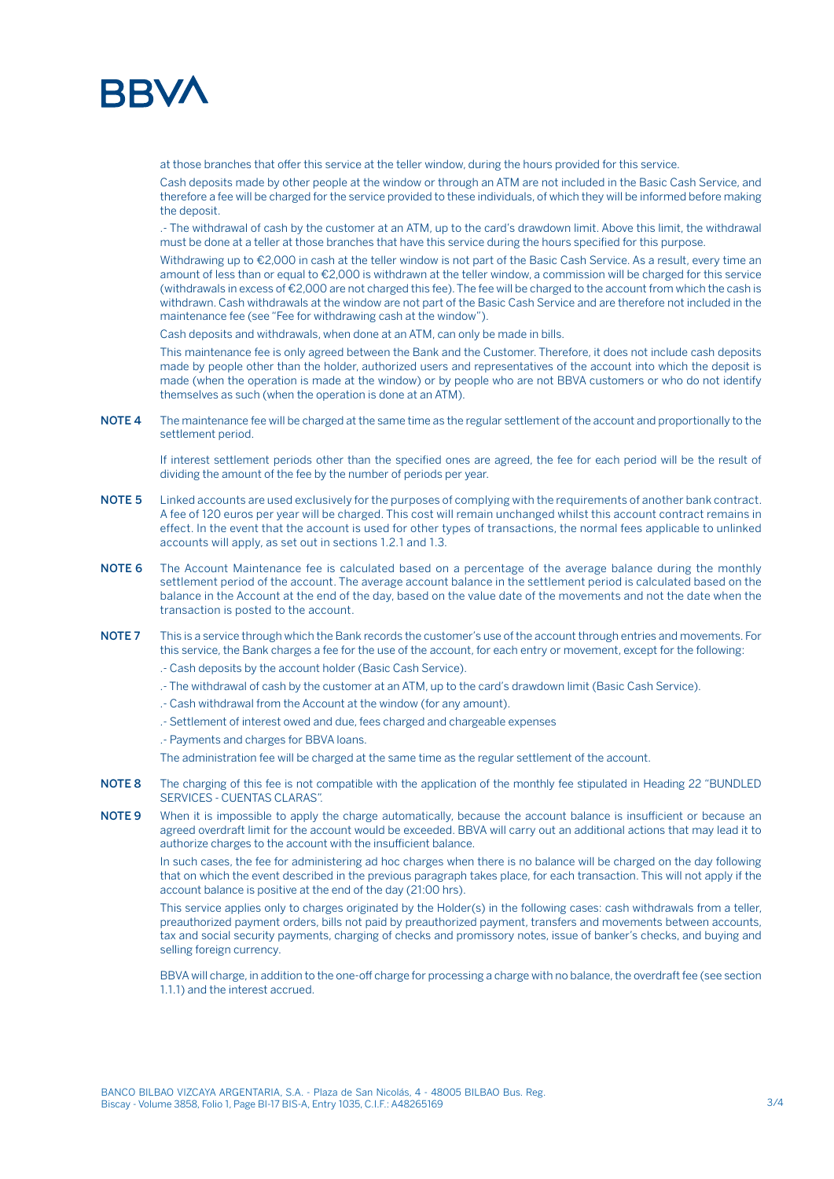

at those branches that offer this service at the teller window, during the hours provided for this service.

Cash deposits made by other people at the window or through an ATM are not included in the Basic Cash Service, and therefore a fee will be charged for the service provided to these individuals, of which they will be informed before making the deposit.

.- The withdrawal of cash by the customer at an ATM, up to the card's drawdown limit. Above this limit, the withdrawal must be done at a teller at those branches that have this service during the hours specified for this purpose.

Withdrawing up to €2,000 in cash at the teller window is not part of the Basic Cash Service. As a result, every time an amount of less than or equal to €2,000 is withdrawn at the teller window, a commission will be charged for this service (withdrawals in excess of €2,000 are not charged this fee). The fee will be charged to the account from which the cash is withdrawn. Cash withdrawals at the window are not part of the Basic Cash Service and are therefore not included in the maintenance fee (see "Fee for withdrawing cash at the window").

Cash deposits and withdrawals, when done at an ATM, can only be made in bills.

This maintenance fee is only agreed between the Bank and the Customer. Therefore, it does not include cash deposits made by people other than the holder, authorized users and representatives of the account into which the deposit is made (when the operation is made at the window) or by people who are not BBVA customers or who do not identify themselves as such (when the operation is done at an ATM).

NOTE 4 The maintenance fee will be charged at the same time as the regular settlement of the account and proportionally to the settlement period.

If interest settlement periods other than the specified ones are agreed, the fee for each period will be the result of dividing the amount of the fee by the number of periods per year.

- NOTE 5 Linked accounts are used exclusively for the purposes of complying with the requirements of another bank contract. A fee of 120 euros per year will be charged. This cost will remain unchanged whilst this account contract remains in effect. In the event that the account is used for other types of transactions, the normal fees applicable to unlinked accounts will apply, as set out in sections 1.2.1 and 1.3.
- NOTE 6 The Account Maintenance fee is calculated based on a percentage of the average balance during the monthly settlement period of the account. The average account balance in the settlement period is calculated based on the balance in the Account at the end of the day, based on the value date of the movements and not the date when the transaction is posted to the account.
- NOTE 7 This is a service through which the Bank records the customer's use of the account through entries and movements. For this service, the Bank charges a fee for the use of the account, for each entry or movement, except for the following:
	- .- Cash deposits by the account holder (Basic Cash Service).
	- .- The withdrawal of cash by the customer at an ATM, up to the card's drawdown limit (Basic Cash Service).
	- .- Cash withdrawal from the Account at the window (for any amount).
	- .- Settlement of interest owed and due, fees charged and chargeable expenses
	- .- Payments and charges for BBVA loans.

The administration fee will be charged at the same time as the regular settlement of the account.

- NOTE 8 The charging of this fee is not compatible with the application of the monthly fee stipulated in Heading 22 "BUNDLED SERVICES - CUENTAS CLARAS".
- NOTE 9 When it is impossible to apply the charge automatically, because the account balance is insufficient or because an agreed overdraft limit for the account would be exceeded. BBVA will carry out an additional actions that may lead it to authorize charges to the account with the insufficient balance.

In such cases, the fee for administering ad hoc charges when there is no balance will be charged on the day following that on which the event described in the previous paragraph takes place, for each transaction. This will not apply if the account balance is positive at the end of the day (21:00 hrs).

This service applies only to charges originated by the Holder(s) in the following cases: cash withdrawals from a teller, preauthorized payment orders, bills not paid by preauthorized payment, transfers and movements between accounts, tax and social security payments, charging of checks and promissory notes, issue of banker's checks, and buying and selling foreign currency.

BBVA will charge, in addition to the one-off charge for processing a charge with no balance, the overdraft fee (see section 1.1.1) and the interest accrued.